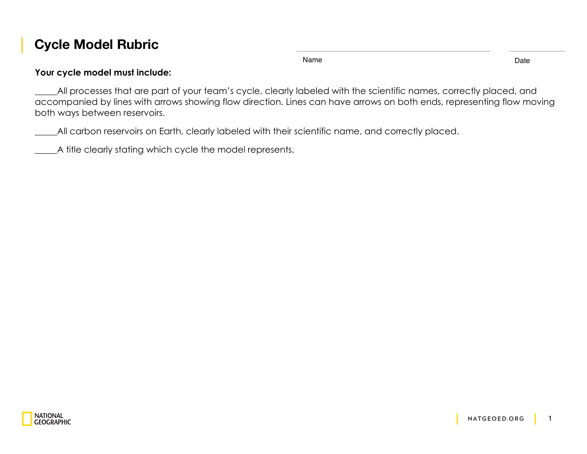## **Cycle Model Rubric**

Name Date **Date** 

## **Your cycle model must include:**

\_\_\_\_\_All processes that are part of your team's cycle, clearly labeled with the scientific names, correctly placed, and accompanied by lines with arrows showing flow direction. Lines can have arrows on both ends, representing flow moving both ways between reservoirs.

\_\_\_\_\_All carbon reservoirs on Earth, clearly labeled with their scientific name, and correctly placed.

A title clearly stating which cycle the model represents.

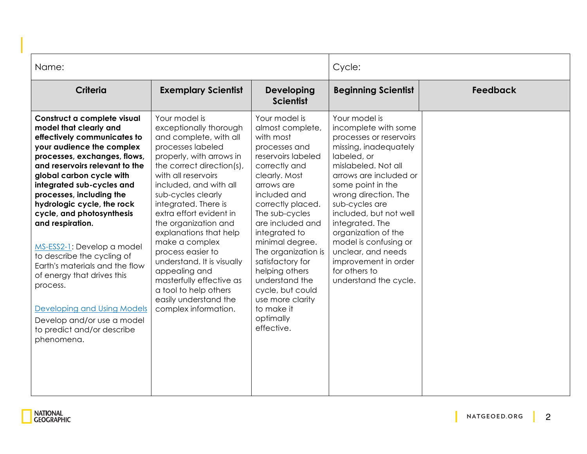| Name:                                                                                                                                                                                                                                                                                                                                                                                                                                                                                                                                                                                                           |                                                                                                                                                                                                                                                                                                                                                                                                                                                                                                                         |                                                                                                                                                                                                                                                                                                                                                                                                                      | Cycle:                                                                                                                                                                                                                                                                                                                                                                                                        |                 |
|-----------------------------------------------------------------------------------------------------------------------------------------------------------------------------------------------------------------------------------------------------------------------------------------------------------------------------------------------------------------------------------------------------------------------------------------------------------------------------------------------------------------------------------------------------------------------------------------------------------------|-------------------------------------------------------------------------------------------------------------------------------------------------------------------------------------------------------------------------------------------------------------------------------------------------------------------------------------------------------------------------------------------------------------------------------------------------------------------------------------------------------------------------|----------------------------------------------------------------------------------------------------------------------------------------------------------------------------------------------------------------------------------------------------------------------------------------------------------------------------------------------------------------------------------------------------------------------|---------------------------------------------------------------------------------------------------------------------------------------------------------------------------------------------------------------------------------------------------------------------------------------------------------------------------------------------------------------------------------------------------------------|-----------------|
| Criteria                                                                                                                                                                                                                                                                                                                                                                                                                                                                                                                                                                                                        | <b>Exemplary Scientist</b>                                                                                                                                                                                                                                                                                                                                                                                                                                                                                              | Developing<br><b>Scientist</b>                                                                                                                                                                                                                                                                                                                                                                                       | <b>Beginning Scientist</b>                                                                                                                                                                                                                                                                                                                                                                                    | <b>Feedback</b> |
| Construct a complete visual<br>model that clearly and<br>effectively communicates to<br>your audience the complex<br>processes, exchanges, flows,<br>and reservoirs relevant to the<br>global carbon cycle with<br>integrated sub-cycles and<br>processes, including the<br>hydrologic cycle, the rock<br>cycle, and photosynthesis<br>and respiration.<br>MS-ESS2-1: Develop a model<br>to describe the cycling of<br>Earth's materials and the flow<br>of energy that drives this<br>process.<br><b>Developing and Using Models</b><br>Develop and/or use a model<br>to predict and/or describe<br>phenomena. | Your model is<br>exceptionally thorough<br>and complete, with all<br>processes labeled<br>properly, with arrows in<br>the correct direction(s),<br>with all reservoirs<br>included, and with all<br>sub-cycles clearly<br>integrated. There is<br>extra effort evident in<br>the organization and<br>explanations that help<br>make a complex<br>process easier to<br>understand. It is visually<br>appealing and<br>masterfully effective as<br>a tool to help others<br>easily understand the<br>complex information. | Your model is<br>almost complete,<br>with most<br>processes and<br>reservoirs labeled<br>correctly and<br>clearly. Most<br>arrows are<br>included and<br>correctly placed.<br>The sub-cycles<br>are included and<br>integrated to<br>minimal degree.<br>The organization is<br>satisfactory for<br>helping others<br>understand the<br>cycle, but could<br>use more clarity<br>to make it<br>optimally<br>effective. | Your model is<br>incomplete with some<br>processes or reservoirs<br>missing, inadequately<br>labeled, or<br>mislabeled. Not all<br>arrows are included or<br>some point in the<br>wrong direction. The<br>sub-cycles are<br>included, but not well<br>integrated. The<br>organization of the<br>model is confusing or<br>unclear, and needs<br>improvement in order<br>for others to<br>understand the cycle. |                 |